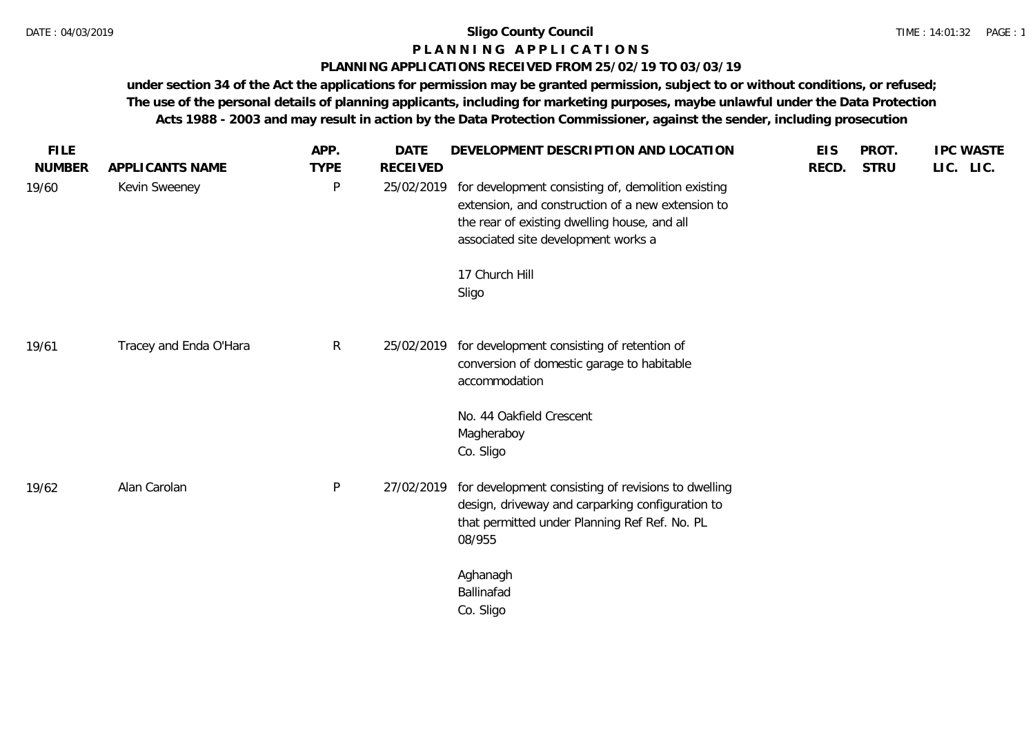# **P L A N N I N G A P P L I C A T I O N S**

# **PLANNING APPLICATIONS RECEIVED FROM 25/02/19 TO 03/03/19**

| <b>FILE</b><br><b>NUMBER</b> | APPLICANTS NAME        | APP.<br><b>TYPE</b> | <b>DATE</b><br><b>RECEIVED</b> | DEVELOPMENT DESCRIPTION AND LOCATION                                                                                                                                                           | <b>EIS</b><br>RECD. | PROT.<br><b>STRU</b> | <b>IPC WASTE</b><br>LIC. LIC. |
|------------------------------|------------------------|---------------------|--------------------------------|------------------------------------------------------------------------------------------------------------------------------------------------------------------------------------------------|---------------------|----------------------|-------------------------------|
| 19/60                        | Kevin Sweeney          | $\mathsf{P}$        | 25/02/2019                     | for development consisting of, demolition existing<br>extension, and construction of a new extension to<br>the rear of existing dwelling house, and all<br>associated site development works a |                     |                      |                               |
|                              |                        |                     |                                | 17 Church Hill<br>Sligo                                                                                                                                                                        |                     |                      |                               |
| 19/61                        | Tracey and Enda O'Hara | $\mathsf{R}$        | 25/02/2019                     | for development consisting of retention of<br>conversion of domestic garage to habitable<br>accommodation                                                                                      |                     |                      |                               |
|                              |                        |                     |                                | No. 44 Oakfield Crescent<br>Magheraboy<br>Co. Sligo                                                                                                                                            |                     |                      |                               |
| 19/62                        | Alan Carolan           | P                   | 27/02/2019                     | for development consisting of revisions to dwelling<br>design, driveway and carparking configuration to<br>that permitted under Planning Ref Ref. No. PL<br>08/955                             |                     |                      |                               |
|                              |                        |                     |                                | Aghanagh<br>Ballinafad<br>Co. Sligo                                                                                                                                                            |                     |                      |                               |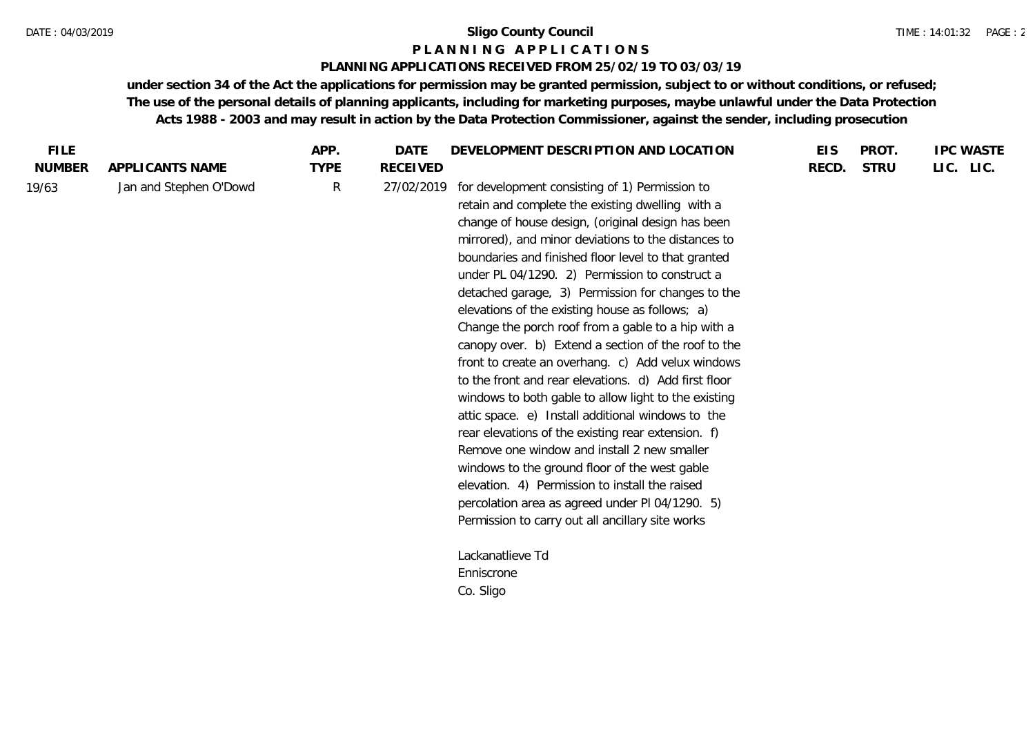#### **P L A N N I N G A P P L I C A T I O N S**

## **PLANNING APPLICATIONS RECEIVED FROM 25/02/19 TO 03/03/19**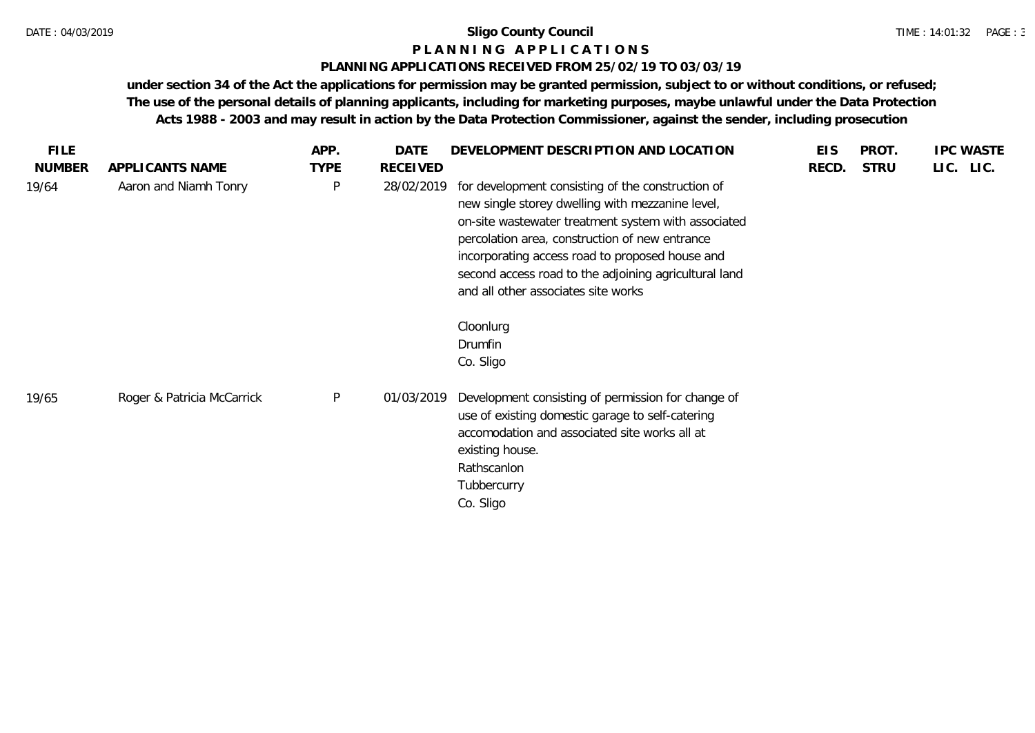#### **P L A N N I N G A P P L I C A T I O N S**

## **PLANNING APPLICATIONS RECEIVED FROM 25/02/19 TO 03/03/19**

| <b>FILE</b>   |                            | APP.         | DATE       | DEVELOPMENT DESCRIPTION AND LOCATION                                                                                                                                                                                                                                                                                                                                           | <b>EIS</b> | PROT.       | <b>IPC WASTE</b> |
|---------------|----------------------------|--------------|------------|--------------------------------------------------------------------------------------------------------------------------------------------------------------------------------------------------------------------------------------------------------------------------------------------------------------------------------------------------------------------------------|------------|-------------|------------------|
| <b>NUMBER</b> | APPLICANTS NAME            | <b>TYPE</b>  | RECEIVED   |                                                                                                                                                                                                                                                                                                                                                                                | RECD.      | <b>STRU</b> | LIC. LIC.        |
| 19/64         | Aaron and Niamh Tonry      | $\mathsf{P}$ | 28/02/2019 | for development consisting of the construction of<br>new single storey dwelling with mezzanine level,<br>on-site wastewater treatment system with associated<br>percolation area, construction of new entrance<br>incorporating access road to proposed house and<br>second access road to the adjoining agricultural land<br>and all other associates site works<br>Cloonlurg |            |             |                  |
|               |                            |              |            | Drumfin                                                                                                                                                                                                                                                                                                                                                                        |            |             |                  |
|               |                            |              |            | Co. Sligo                                                                                                                                                                                                                                                                                                                                                                      |            |             |                  |
| 19/65         | Roger & Patricia McCarrick | P            | 01/03/2019 | Development consisting of permission for change of<br>use of existing domestic garage to self-catering<br>accomodation and associated site works all at<br>existing house.<br>Rathscanlon<br>Tubbercurry<br>Co. Sligo                                                                                                                                                          |            |             |                  |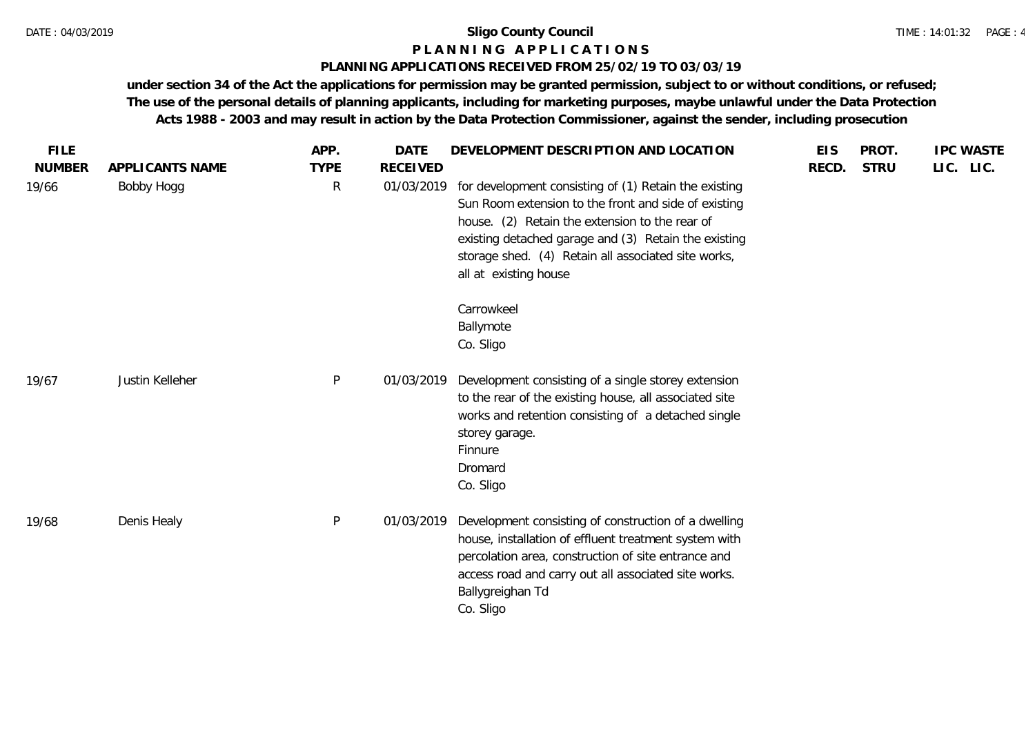## **P L A N N I N G A P P L I C A T I O N S**

# **PLANNING APPLICATIONS RECEIVED FROM 25/02/19 TO 03/03/19**

| <b>FILE</b>            | APPLICANTS NAME | APP.<br><b>TYPE</b> | <b>DATE</b><br><b>RECEIVED</b> | DEVELOPMENT DESCRIPTION AND LOCATION                                                                                                                                                                                                                                                                    | <b>EIS</b> | PROT.<br><b>STRU</b> | <b>IPC WASTE</b> |
|------------------------|-----------------|---------------------|--------------------------------|---------------------------------------------------------------------------------------------------------------------------------------------------------------------------------------------------------------------------------------------------------------------------------------------------------|------------|----------------------|------------------|
| <b>NUMBER</b><br>19/66 | Bobby Hogg      | $\mathsf{R}$        | 01/03/2019                     | for development consisting of (1) Retain the existing<br>Sun Room extension to the front and side of existing<br>house. (2) Retain the extension to the rear of<br>existing detached garage and (3) Retain the existing<br>storage shed. (4) Retain all associated site works,<br>all at existing house | RECD.      |                      | LIC. LIC.        |
|                        |                 |                     |                                | Carrowkeel<br>Ballymote<br>Co. Sligo                                                                                                                                                                                                                                                                    |            |                      |                  |
| 19/67                  | Justin Kelleher | P                   | 01/03/2019                     | Development consisting of a single storey extension<br>to the rear of the existing house, all associated site<br>works and retention consisting of a detached single<br>storey garage.<br>Finnure<br>Dromard<br>Co. Sligo                                                                               |            |                      |                  |
| 19/68                  | Denis Healy     | P                   | 01/03/2019                     | Development consisting of construction of a dwelling<br>house, installation of effluent treatment system with<br>percolation area, construction of site entrance and<br>access road and carry out all associated site works.<br>Ballygreighan Td<br>Co. Sligo                                           |            |                      |                  |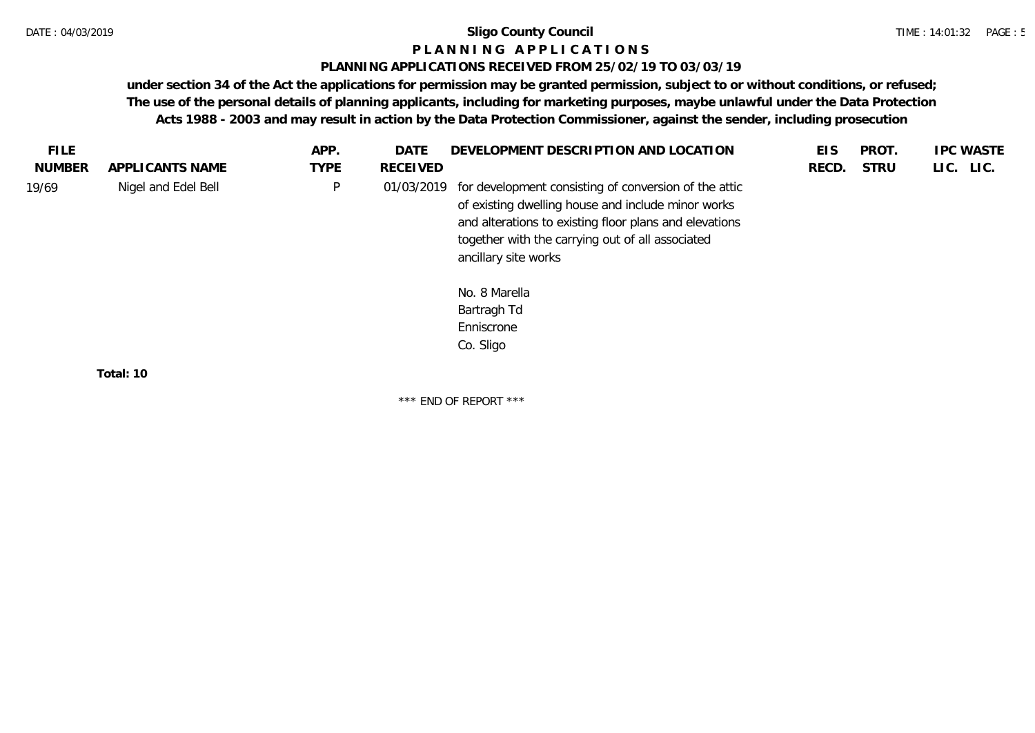#### **P L A N N I N G A P P L I C A T I O N S**

#### **PLANNING APPLICATIONS RECEIVED FROM 25/02/19 TO 03/03/19**

**under section 34 of the Act the applications for permission may be granted permission, subject to or without conditions, or refused; The use of the personal details of planning applicants, including for marketing purposes, maybe unlawful under the Data Protection Acts 1988 - 2003 and may result in action by the Data Protection Commissioner, against the sender, including prosecution**

| FILE.         |                     | APP.         | <b>DATE</b> | DEVELOPMENT DESCRIPTION AND LOCATION                                                                                                                                                                                                              | <b>EIS</b> | PROT.       | <b>IPC WASTE</b> |
|---------------|---------------------|--------------|-------------|---------------------------------------------------------------------------------------------------------------------------------------------------------------------------------------------------------------------------------------------------|------------|-------------|------------------|
| <b>NUMBER</b> | APPLICANTS NAME     | <b>TYPE</b>  | RECEIVED    |                                                                                                                                                                                                                                                   | RECD.      | <b>STRU</b> | LIC. LIC.        |
| 19/69         | Nigel and Edel Bell | $\mathsf{P}$ | 01/03/2019  | for development consisting of conversion of the attic<br>of existing dwelling house and include minor works<br>and alterations to existing floor plans and elevations<br>together with the carrying out of all associated<br>ancillary site works |            |             |                  |
|               |                     |              |             | No. 8 Marella<br>Bartragh Td<br>Enniscrone<br>Co. Sligo                                                                                                                                                                                           |            |             |                  |
|               | Total: 10           |              |             |                                                                                                                                                                                                                                                   |            |             |                  |

\*\*\* END OF REPORT \*\*\*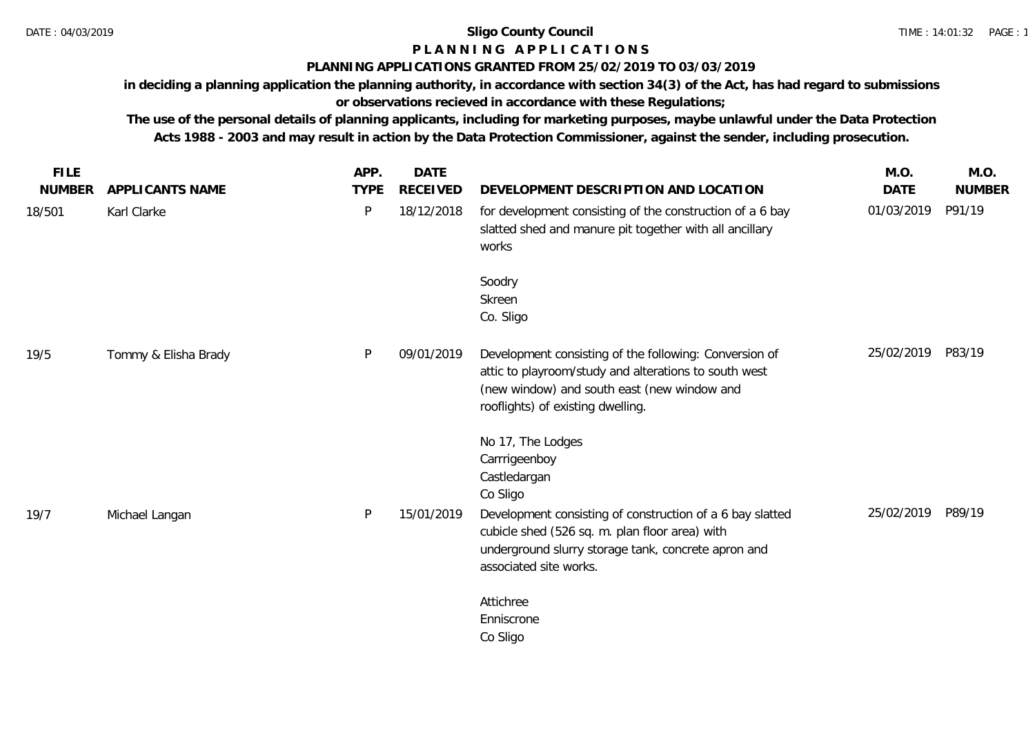# **P L A N N I N G A P P L I C A T I O N S**

#### **PLANNING APPLICATIONS GRANTED FROM 25/02/2019 TO 03/03/2019**

**in deciding a planning application the planning authority, in accordance with section 34(3) of the Act, has had regard to submissions or observations recieved in accordance with these Regulations;**

**The use of the personal details of planning applicants, including for marketing purposes, maybe unlawful under the Data Protection Acts 1988 - 2003 and may result in action by the Data Protection Commissioner, against the sender, including prosecution.**

| <b>FILE</b>   |                      | APP.        | <b>DATE</b>     |                                                                                                                                                                                                     | M.O.        | M.O.          |
|---------------|----------------------|-------------|-----------------|-----------------------------------------------------------------------------------------------------------------------------------------------------------------------------------------------------|-------------|---------------|
| <b>NUMBER</b> | APPLICANTS NAME      | <b>TYPE</b> | <b>RECEIVED</b> | DEVELOPMENT DESCRIPTION AND LOCATION                                                                                                                                                                | <b>DATE</b> | <b>NUMBER</b> |
| 18/501        | Karl Clarke          | P           | 18/12/2018      | for development consisting of the construction of a 6 bay<br>slatted shed and manure pit together with all ancillary<br>works                                                                       | 01/03/2019  | P91/19        |
|               |                      |             |                 | Soodry<br>Skreen<br>Co. Sligo                                                                                                                                                                       |             |               |
| 19/5          | Tommy & Elisha Brady | P           | 09/01/2019      | Development consisting of the following: Conversion of<br>attic to playroom/study and alterations to south west<br>(new window) and south east (new window and<br>rooflights) of existing dwelling. | 25/02/2019  | P83/19        |
|               |                      |             |                 | No 17, The Lodges<br>Carrrigeenboy<br>Castledargan<br>Co Sligo                                                                                                                                      |             |               |
| 19/7          | Michael Langan       | P           | 15/01/2019      | Development consisting of construction of a 6 bay slatted<br>cubicle shed (526 sq. m. plan floor area) with<br>underground slurry storage tank, concrete apron and<br>associated site works.        | 25/02/2019  | P89/19        |
|               |                      |             |                 | Attichree<br>Enniscrone<br>Co Sligo                                                                                                                                                                 |             |               |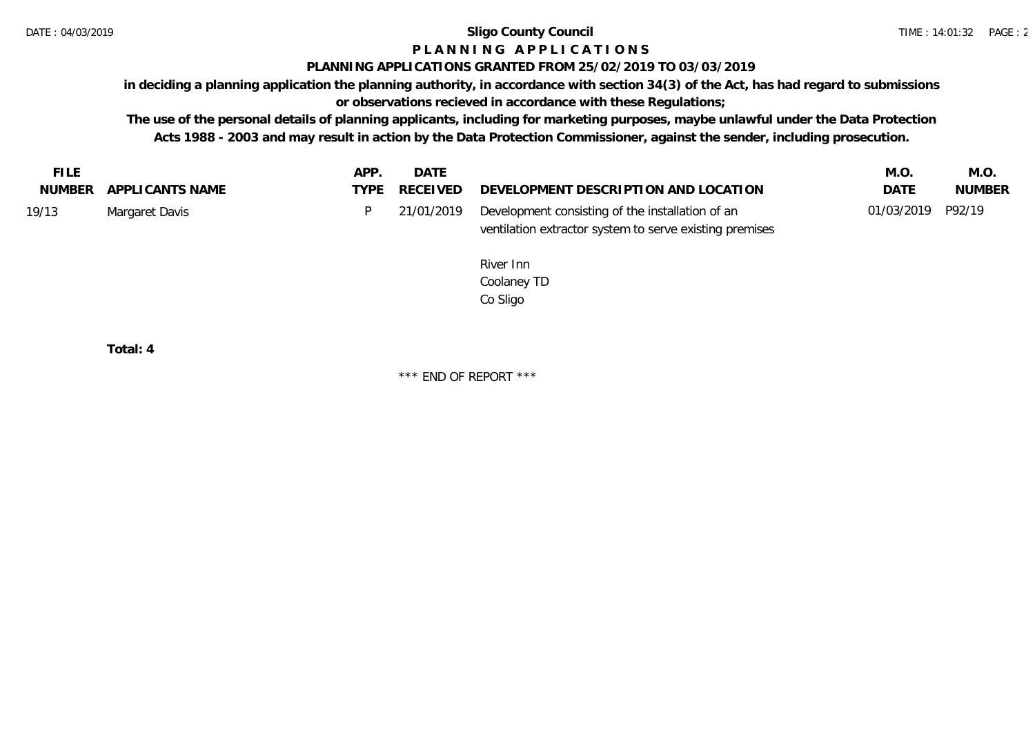# **P L A N N I N G A P P L I C A T I O N S**

### **PLANNING APPLICATIONS GRANTED FROM 25/02/2019 TO 03/03/2019**

**in deciding a planning application the planning authority, in accordance with section 34(3) of the Act, has had regard to submissions** 

**or observations recieved in accordance with these Regulations;**

**The use of the personal details of planning applicants, including for marketing purposes, maybe unlawful under the Data Protection Acts 1988 - 2003 and may result in action by the Data Protection Commissioner, against the sender, including prosecution.**

| FILE  |                        | APP. | DATE |                                                             | M.O.              | M.O           |
|-------|------------------------|------|------|-------------------------------------------------------------|-------------------|---------------|
|       | NUMBER APPLICANTS NAME |      |      | TYPE RECEIVED DEVELOPMENT DESCRIPTION AND LOCATION          | DATE              | <b>NUMBER</b> |
| 19/13 | Margaret Davis         |      |      | 21/01/2019 Development consisting of the installation of an | 01/03/2019 P92/19 |               |
|       |                        |      |      | ventilation extractor system to serve existing premises     |                   |               |

River Inn Coolaney TD Co Sligo

**Total: 4**

\*\*\* END OF REPORT \*\*\*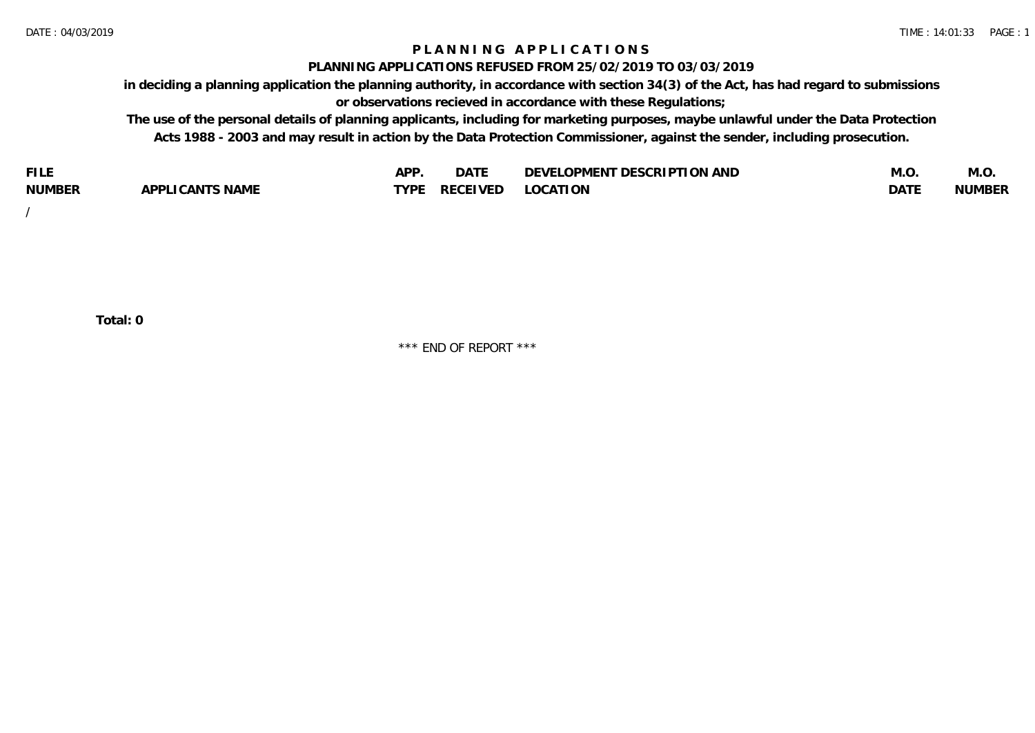# **P L A N N I N G A P P L I C A T I O N S**

#### **PLANNING APPLICATIONS REFUSED FROM 25/02/2019 TO 03/03/2019**

**in deciding a planning application the planning authority, in accordance with section 34(3) of the Act, has had regard to submissions or observations recieved in accordance with these Regulations;**

**The use of the personal details of planning applicants, including for marketing purposes, maybe unlawful under the Data Protection Acts 1988 - 2003 and may result in action by the Data Protection Commissioner, against the sender, including prosecution.**

| <b>FILE</b>   |                                                     | A DE | $\sim$ $\sim$ $\sim$<br>DA I | <b>ENT DESCRIPTION AND</b><br>$\cap$ nn.<br>)E\/F<br>. JIEN L<br>பட | IVI.U       | IVI.U         |
|---------------|-----------------------------------------------------|------|------------------------------|---------------------------------------------------------------------|-------------|---------------|
| <b>NUMBER</b> | <b>ANTS NAME</b><br>A DDI<br>$\sqrt{2}$<br>CAN<br>u | TVDL | ◡⊢                           | <b>OCATION</b>                                                      | <b>DATF</b> | <b>NUMBER</b> |

/

**Total: 0**

\*\*\* END OF REPORT \*\*\*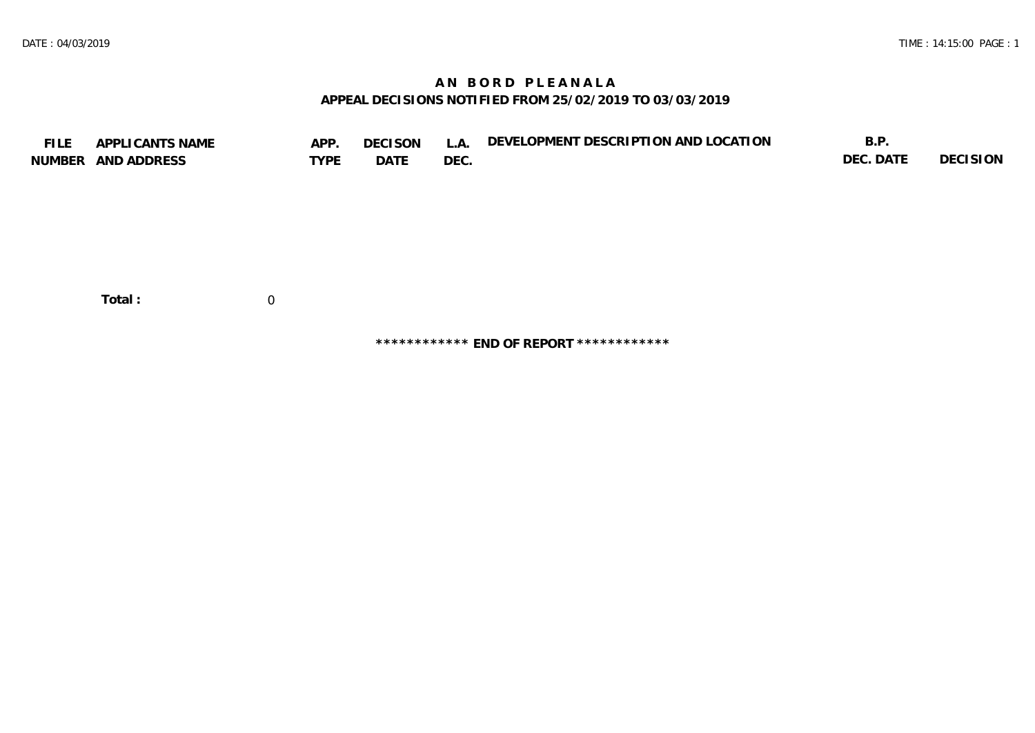# **A N B O R D P L E A N A L A APPEAL DECISIONS NOTIFIED FROM 25/02/2019 TO 03/03/2019**

| <b>FILE</b> | APPLICANTS NAME<br>NUMBER AND ADDRESS | APP.<br><b>TYPE</b> | <b>DECISON</b><br>DATE | L.A.<br>DEC. | DEVELOPMENT DESCRIPTION AND LOCATION | B.P.<br>DEC. DATE | DECISION |
|-------------|---------------------------------------|---------------------|------------------------|--------------|--------------------------------------|-------------------|----------|
|             |                                       |                     |                        |              |                                      |                   |          |
|             | Total:                                | $\overline{0}$      |                        |              |                                      |                   |          |

**\*\*\*\*\*\*\*\*\*\*\*\* END OF REPORT \*\*\*\*\*\*\*\*\*\*\*\***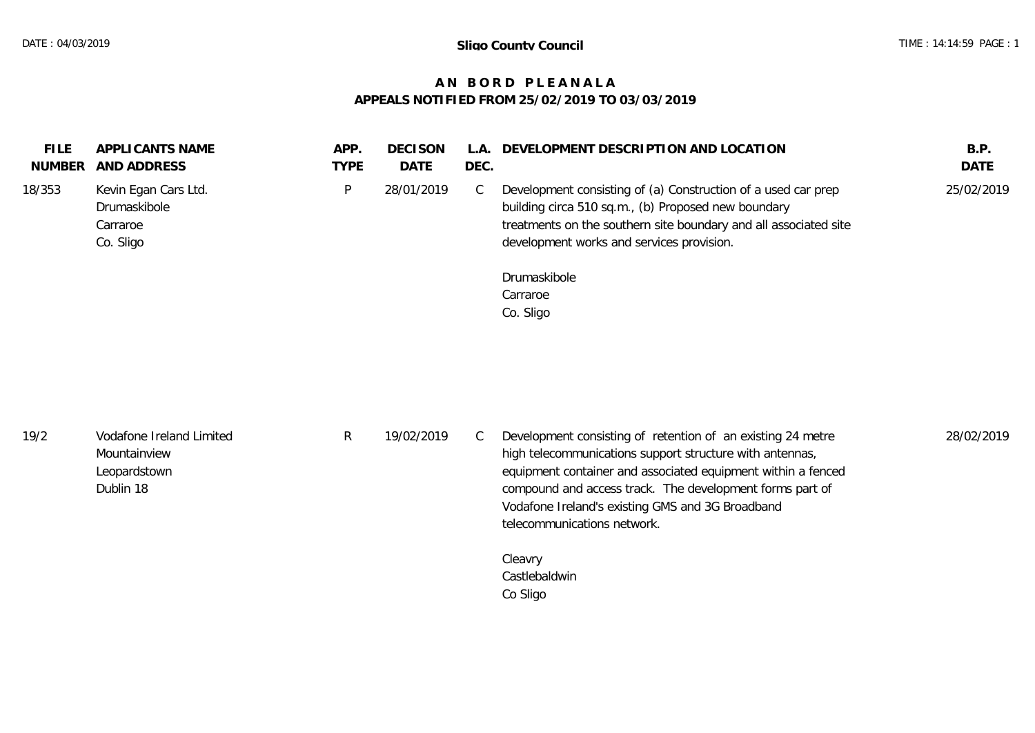# **A N B O R D P L E A N A L A APPEALS NOTIFIED FROM 25/02/2019 TO 03/03/2019**

| <b>DATE</b><br>AND ADDRESS<br><b>TYPE</b><br>DEC.<br>NUMBER                                                                                                                                                                                                                                                                                                                        | <b>DATE</b> |
|------------------------------------------------------------------------------------------------------------------------------------------------------------------------------------------------------------------------------------------------------------------------------------------------------------------------------------------------------------------------------------|-------------|
| Development consisting of (a) Construction of a used car prep<br>18/353<br>Kevin Egan Cars Ltd.<br>28/01/2019<br>P.<br>◡<br>building circa 510 sq.m., (b) Proposed new boundary<br>Drumaskibole<br>treatments on the southern site boundary and all associated site<br>Carraroe<br>development works and services provision.<br>Co. Sligo<br>Drumaskibole<br>Carraroe<br>Co. Sligo | 25/02/2019  |

| 19/2 | Vodafone Ireland Limited<br>Mountainview<br>Leopardstown<br>Dublin 18 | 19/02/2019 | Development consisting of retention of an existing 24 metre<br>high telecommunications support structure with antennas,<br>equipment container and associated equipment within a fenced<br>compound and access track. The development forms part of<br>Vodafone Ireland's existing GMS and 3G Broadband | 28/02/2019 |
|------|-----------------------------------------------------------------------|------------|---------------------------------------------------------------------------------------------------------------------------------------------------------------------------------------------------------------------------------------------------------------------------------------------------------|------------|
|      |                                                                       |            | telecommunications network.                                                                                                                                                                                                                                                                             |            |

Cleavry Castlebaldwin Co Sligo